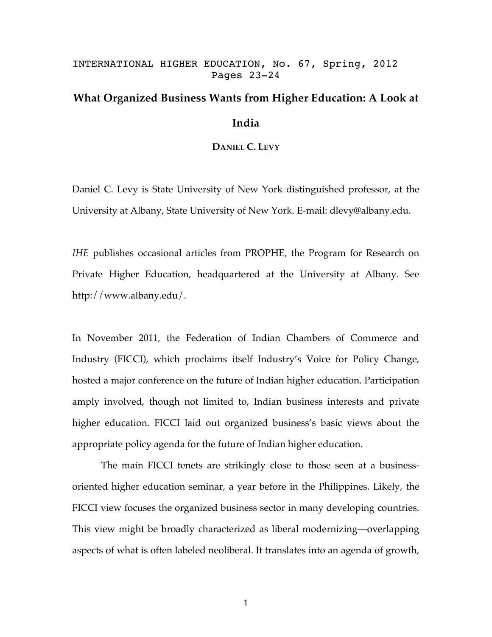# INTERNATIONAL HIGHER EDUCATION, No. 67, Spring, 2012 Pages 23-24

# **What Organized Business Wants from Higher Education: A Look at India**

# **DANIEL C. LEVY**

Daniel C. Levy is State University of New York distinguished professor, at the University at Albany, State University of New York. E-mail: dlevy@albany.edu.

*IHE* publishes occasional articles from PROPHE, the Program for Research on Private Higher Education, headquartered at the University at Albany. See http://www.albany.edu/.

In November 2011, the Federation of Indian Chambers of Commerce and Industry (FICCI), which proclaims itself Industry's Voice for Policy Change, hosted a major conference on the future of Indian higher education. Participation amply involved, though not limited to, Indian business interests and private higher education. FICCI laid out organized business's basic views about the appropriate policy agenda for the future of Indian higher education.

The main FICCI tenets are strikingly close to those seen at a businessoriented higher education seminar, a year before in the Philippines. Likely, the FICCI view focuses the organized business sector in many developing countries. This view might be broadly characterized as liberal modernizing—overlapping aspects of what is often labeled neoliberal. It translates into an agenda of growth,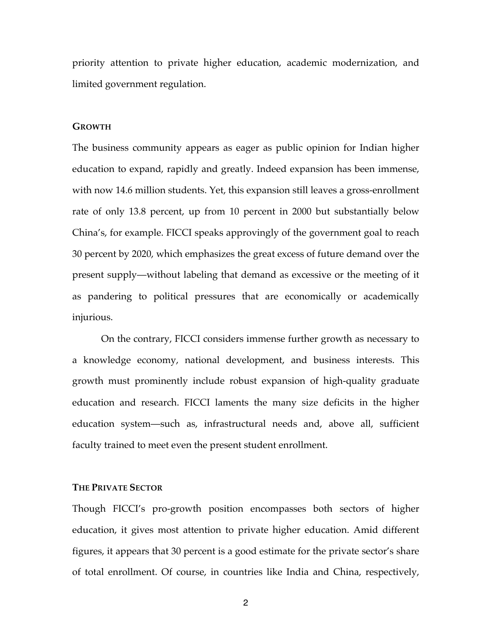priority attention to private higher education, academic modernization, and limited government regulation.

#### **GROWTH**

The business community appears as eager as public opinion for Indian higher education to expand, rapidly and greatly. Indeed expansion has been immense, with now 14.6 million students. Yet, this expansion still leaves a gross-enrollment rate of only 13.8 percent, up from 10 percent in 2000 but substantially below China's, for example. FICCI speaks approvingly of the government goal to reach 30 percent by 2020, which emphasizes the great excess of future demand over the present supply—without labeling that demand as excessive or the meeting of it as pandering to political pressures that are economically or academically injurious.

On the contrary, FICCI considers immense further growth as necessary to a knowledge economy, national development, and business interests. This growth must prominently include robust expansion of high-quality graduate education and research. FICCI laments the many size deficits in the higher education system—such as, infrastructural needs and, above all, sufficient faculty trained to meet even the present student enrollment.

## **THE PRIVATE SECTOR**

Though FICCI's pro-growth position encompasses both sectors of higher education, it gives most attention to private higher education. Amid different figures, it appears that 30 percent is a good estimate for the private sector's share of total enrollment. Of course, in countries like India and China, respectively,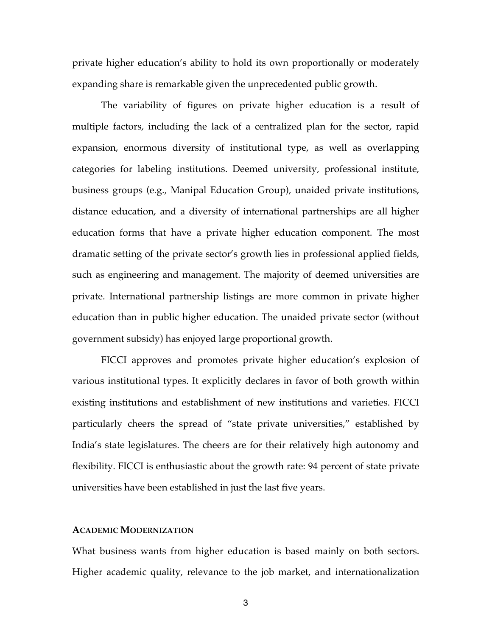private higher education's ability to hold its own proportionally or moderately expanding share is remarkable given the unprecedented public growth.

The variability of figures on private higher education is a result of multiple factors, including the lack of a centralized plan for the sector, rapid expansion, enormous diversity of institutional type, as well as overlapping categories for labeling institutions. Deemed university, professional institute, business groups (e.g., Manipal Education Group), unaided private institutions, distance education, and a diversity of international partnerships are all higher education forms that have a private higher education component. The most dramatic setting of the private sector's growth lies in professional applied fields, such as engineering and management. The majority of deemed universities are private. International partnership listings are more common in private higher education than in public higher education. The unaided private sector (without government subsidy) has enjoyed large proportional growth.

FICCI approves and promotes private higher education's explosion of various institutional types. It explicitly declares in favor of both growth within existing institutions and establishment of new institutions and varieties. FICCI particularly cheers the spread of "state private universities," established by India's state legislatures. The cheers are for their relatively high autonomy and flexibility. FICCI is enthusiastic about the growth rate: 94 percent of state private universities have been established in just the last five years.

## **ACADEMIC MODERNIZATION**

What business wants from higher education is based mainly on both sectors. Higher academic quality, relevance to the job market, and internationalization

3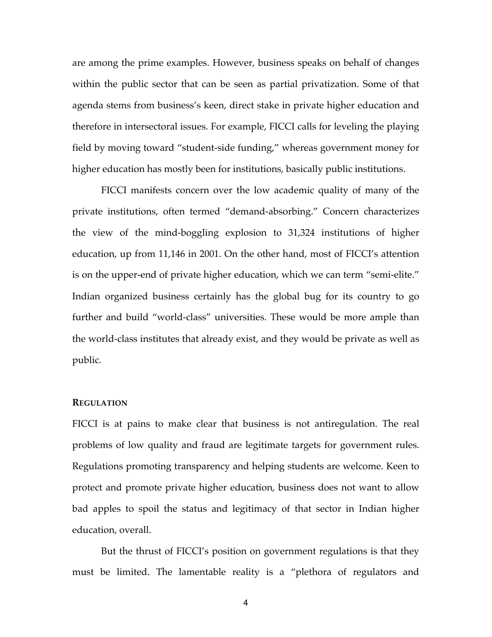are among the prime examples. However, business speaks on behalf of changes within the public sector that can be seen as partial privatization. Some of that agenda stems from business's keen, direct stake in private higher education and therefore in intersectoral issues. For example, FICCI calls for leveling the playing field by moving toward "student-side funding," whereas government money for higher education has mostly been for institutions, basically public institutions.

FICCI manifests concern over the low academic quality of many of the private institutions, often termed "demand-absorbing." Concern characterizes the view of the mind-boggling explosion to 31,324 institutions of higher education, up from 11,146 in 2001. On the other hand, most of FICCI's attention is on the upper-end of private higher education, which we can term "semi-elite." Indian organized business certainly has the global bug for its country to go further and build "world-class" universities. These would be more ample than the world-class institutes that already exist, and they would be private as well as public.

### **REGULATION**

FICCI is at pains to make clear that business is not antiregulation. The real problems of low quality and fraud are legitimate targets for government rules. Regulations promoting transparency and helping students are welcome. Keen to protect and promote private higher education, business does not want to allow bad apples to spoil the status and legitimacy of that sector in Indian higher education, overall.

But the thrust of FICCI's position on government regulations is that they must be limited. The lamentable reality is a "plethora of regulators and

4